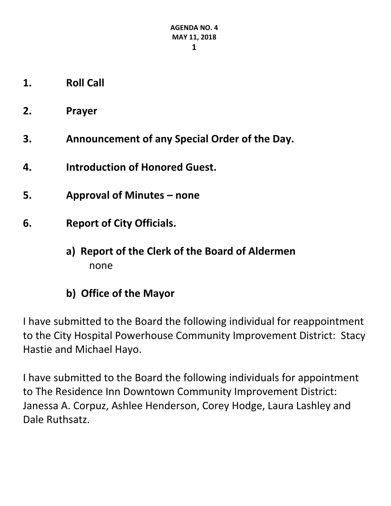- **1. Roll Call**
- **2. Prayer**
- **3. Announcement of any Special Order of the Day.**
- **4. Introduction of Honored Guest.**
- **5. Approval of Minutes – none**
- **6. Report of City Officials.**
	- **a) Report of the Clerk of the Board of Aldermen** none
	- **b) Office of the Mayor**

I have submitted to the Board the following individual for reappointment to the City Hospital Powerhouse Community Improvement District: Stacy Hastie and Michael Hayo.

I have submitted to the Board the following individuals for appointment to The Residence Inn Downtown Community Improvement District: Janessa A. Corpuz, Ashlee Henderson, Corey Hodge, Laura Lashley and Dale Ruthsatz.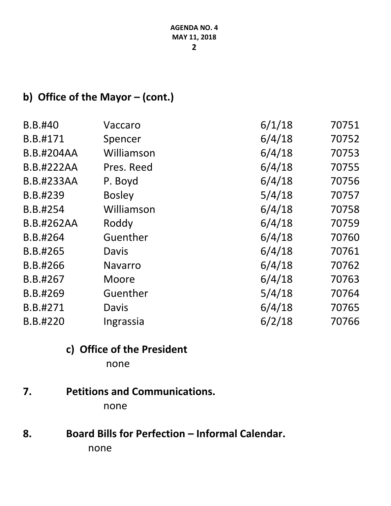## **b) Office of the Mayor – (cont.)**

| B.B.#40           | Vaccaro        | 6/1/18 | 70751 |
|-------------------|----------------|--------|-------|
| B.B.#171          | Spencer        | 6/4/18 | 70752 |
| <b>B.B.#204AA</b> | Williamson     | 6/4/18 | 70753 |
| <b>B.B.#222AA</b> | Pres. Reed     | 6/4/18 | 70755 |
| <b>B.B.#233AA</b> | P. Boyd        | 6/4/18 | 70756 |
| B.B.#239          | <b>Bosley</b>  | 5/4/18 | 70757 |
| B.B.#254          | Williamson     | 6/4/18 | 70758 |
| <b>B.B.#262AA</b> | Roddy          | 6/4/18 | 70759 |
| B.B.#264          | Guenther       | 6/4/18 | 70760 |
| B.B.#265          | Davis          | 6/4/18 | 70761 |
| B.B.#266          | <b>Navarro</b> | 6/4/18 | 70762 |
| B.B.#267          | Moore          | 6/4/18 | 70763 |
| B.B.#269          | Guenther       | 5/4/18 | 70764 |
| B.B.#271          | Davis          | 6/4/18 | 70765 |
| B.B.#220          | Ingrassia      | 6/2/18 | 70766 |

# **c) Office of the President**

none

## **7. Petitions and Communications.**

none

## 8. **Board Bills for Perfection – Informal Calendar.** none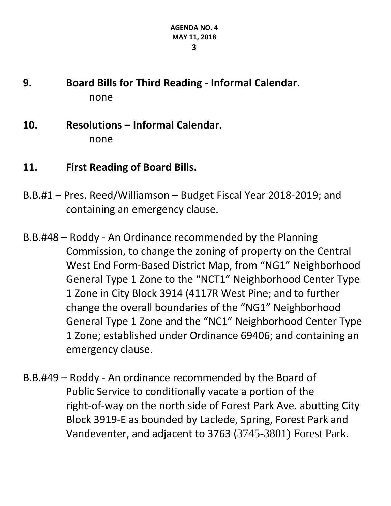## **9. Board Bills for Third Reading - Informal Calendar.** none

- **10. Resolutions – Informal Calendar.** none
- **11. First Reading of Board Bills.**
- B.B.#1 Pres. Reed/Williamson Budget Fiscal Year 2018-2019; and containing an emergency clause.
- B.B.#48 Roddy An Ordinance recommended by the Planning Commission, to change the zoning of property on the Central West End Form-Based District Map, from "NG1" Neighborhood General Type 1 Zone to the "NCT1" Neighborhood Center Type 1 Zone in City Block 3914 (4117R West Pine; and to further change the overall boundaries of the "NG1" Neighborhood General Type 1 Zone and the "NC1" Neighborhood Center Type 1 Zone; established under Ordinance 69406; and containing an emergency clause.
- B.B.#49 Roddy An ordinance recommended by the Board of Public Service to conditionally vacate a portion of the right-of-way on the north side of Forest Park Ave. abutting City Block 3919-E as bounded by Laclede, Spring, Forest Park and Vandeventer, and adjacent to 3763 ([3745-3801\) Forest Park](https://maps.google.com/?q=3745-3801)+Forest+Park&entry=gmail&source=g).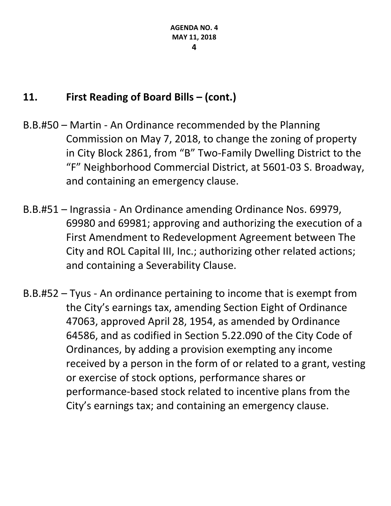## **11. First Reading of Board Bills – (cont.)**

- B.B.#50 Martin An Ordinance recommended by the Planning Commission on May 7, 2018, to change the zoning of property in City Block 2861, from "B" Two-Family Dwelling District to the "F" Neighborhood Commercial District, at 5601-03 S. Broadway, and containing an emergency clause.
- B.B.#51 Ingrassia An Ordinance amending Ordinance Nos. 69979, 69980 and 69981; approving and authorizing the execution of a First Amendment to Redevelopment Agreement between The City and ROL Capital III, Inc.; authorizing other related actions; and containing a Severability Clause.
- B.B.#52 Tyus An ordinance pertaining to income that is exempt from the City's earnings tax, amending Section Eight of Ordinance 47063, approved April 28, 1954, as amended by Ordinance 64586, and as codified in Section 5.22.090 of the City Code of Ordinances, by adding a provision exempting any income received by a person in the form of or related to a grant, vesting or exercise of stock options, performance shares or performance-based stock related to incentive plans from the City's earnings tax; and containing an emergency clause.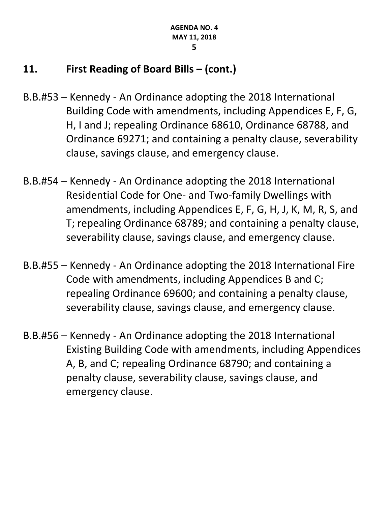## **11. First Reading of Board Bills – (cont.)**

- B.B.#53 Kennedy An Ordinance adopting the 2018 International Building Code with amendments, including Appendices E, F, G, H, I and J; repealing Ordinance 68610, Ordinance 68788, and Ordinance 69271; and containing a penalty clause, severability clause, savings clause, and emergency clause.
- B.B.#54 Kennedy An Ordinance adopting the 2018 International Residential Code for One- and Two-family Dwellings with amendments, including Appendices E, F, G, H, J, K, M, R, S, and T; repealing Ordinance 68789; and containing a penalty clause, severability clause, savings clause, and emergency clause.
- B.B.#55 Kennedy An Ordinance adopting the 2018 International Fire Code with amendments, including Appendices B and C; repealing Ordinance 69600; and containing a penalty clause, severability clause, savings clause, and emergency clause.
- B.B.#56 Kennedy An Ordinance adopting the 2018 International Existing Building Code with amendments, including Appendices A, B, and C; repealing Ordinance 68790; and containing a penalty clause, severability clause, savings clause, and emergency clause.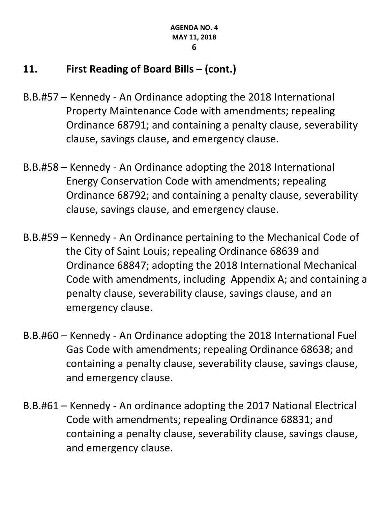## **11. First Reading of Board Bills – (cont.)**

- B.B.#57 Kennedy An Ordinance adopting the 2018 International Property Maintenance Code with amendments; repealing Ordinance 68791; and containing a penalty clause, severability clause, savings clause, and emergency clause.
- B.B.#58 Kennedy An Ordinance adopting the 2018 International Energy Conservation Code with amendments; repealing Ordinance 68792; and containing a penalty clause, severability clause, savings clause, and emergency clause.
- B.B.#59 Kennedy An Ordinance pertaining to the Mechanical Code of the City of Saint Louis; repealing Ordinance 68639 and Ordinance 68847; adopting the 2018 International Mechanical Code with amendments, including Appendix A; and containing a penalty clause, severability clause, savings clause, and an emergency clause.
- B.B.#60 Kennedy An Ordinance adopting the 2018 International Fuel Gas Code with amendments; repealing Ordinance 68638; and containing a penalty clause, severability clause, savings clause, and emergency clause.
- B.B.#61 Kennedy An ordinance adopting the 2017 National Electrical Code with amendments; repealing Ordinance 68831; and containing a penalty clause, severability clause, savings clause, and emergency clause.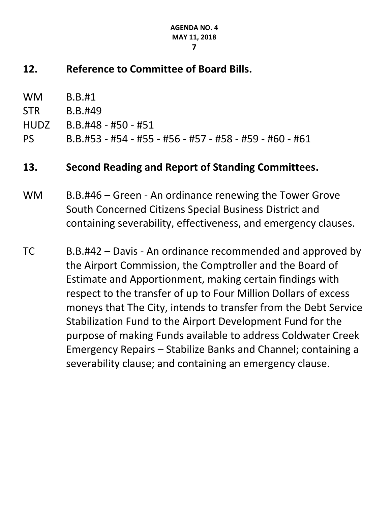#### **AGENDA NO. 4 MAY 11, 2018**

**7**

## **12. Reference to Committee of Board Bills.**

| <b>WM</b>   | <b>B.B.#1</b>                                                                                                                                                                                                                                                                                                                                                                                                                                                                                                                                                                       |
|-------------|-------------------------------------------------------------------------------------------------------------------------------------------------------------------------------------------------------------------------------------------------------------------------------------------------------------------------------------------------------------------------------------------------------------------------------------------------------------------------------------------------------------------------------------------------------------------------------------|
| <b>STR</b>  | B.B.#49                                                                                                                                                                                                                                                                                                                                                                                                                                                                                                                                                                             |
| <b>HUDZ</b> | $B.B.#48 - #50 - #51$                                                                                                                                                                                                                                                                                                                                                                                                                                                                                                                                                               |
| <b>PS</b>   | B.B.#53 - #54 - #55 - #56 - #57 - #58 - #59 - #60 - #61                                                                                                                                                                                                                                                                                                                                                                                                                                                                                                                             |
| 13.         | Second Reading and Report of Standing Committees.                                                                                                                                                                                                                                                                                                                                                                                                                                                                                                                                   |
| <b>WM</b>   | B.B.#46 – Green - An ordinance renewing the Tower Grove<br>South Concerned Citizens Special Business District and<br>containing severability, effectiveness, and emergency clauses.                                                                                                                                                                                                                                                                                                                                                                                                 |
| <b>TC</b>   | B.B.#42 – Davis - An ordinance recommended and approved by<br>the Airport Commission, the Comptroller and the Board of<br>Estimate and Apportionment, making certain findings with<br>respect to the transfer of up to Four Million Dollars of excess<br>moneys that The City, intends to transfer from the Debt Service<br>Stabilization Fund to the Airport Development Fund for the<br>purpose of making Funds available to address Coldwater Creek<br>Emergency Repairs – Stabilize Banks and Channel; containing a<br>severability clause; and containing an emergency clause. |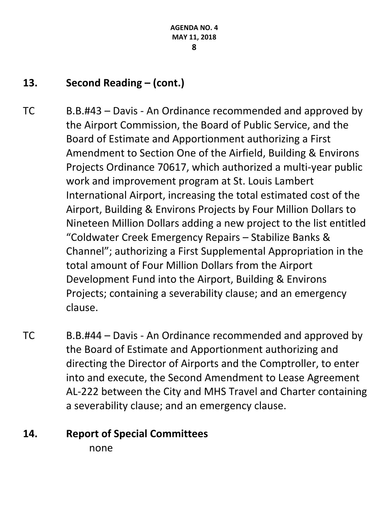## **13. Second Reading – (cont.)**

- TC B.B.#43 Davis An Ordinance recommended and approved by the Airport Commission, the Board of Public Service, and the Board of Estimate and Apportionment authorizing a First Amendment to Section One of the Airfield, Building & Environs Projects Ordinance 70617, which authorized a multi-year public work and improvement program at St. Louis Lambert International Airport, increasing the total estimated cost of the Airport, Building & Environs Projects by Four Million Dollars to Nineteen Million Dollars adding a new project to the list entitled "Coldwater Creek Emergency Repairs – Stabilize Banks & Channel"; authorizing a First Supplemental Appropriation in the total amount of Four Million Dollars from the Airport Development Fund into the Airport, Building & Environs Projects; containing a severability clause; and an emergency clause.
- TC B.B.#44 Davis An Ordinance recommended and approved by the Board of Estimate and Apportionment authorizing and directing the Director of Airports and the Comptroller, to enter into and execute, the Second Amendment to Lease Agreement AL-222 between the City and MHS Travel and Charter containing a severability clause; and an emergency clause.

## **14. Report of Special Committees**

none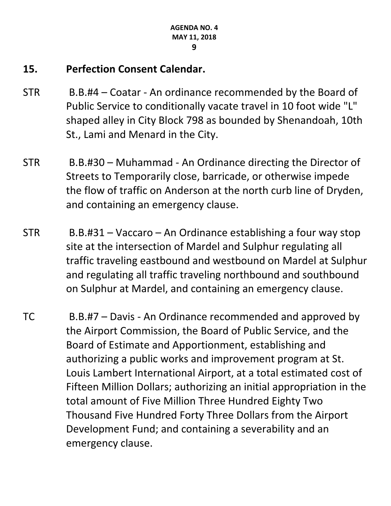## **15. Perfection Consent Calendar.**

- STR B.B.#4 Coatar An ordinance recommended by the Board of Public Service to conditionally vacate travel in 10 foot wide "L" shaped alley in City Block 798 as bounded by Shenandoah, 10th St., Lami and Menard in the City.
- STR B.B.#30 Muhammad An Ordinance directing the Director of Streets to Temporarily close, barricade, or otherwise impede the flow of traffic on Anderson at the north curb line of Dryden, and containing an emergency clause.
- STR B.B.#31 Vaccaro An Ordinance establishing a four way stop site at the intersection of Mardel and Sulphur regulating all traffic traveling eastbound and westbound on Mardel at Sulphur and regulating all traffic traveling northbound and southbound on Sulphur at Mardel, and containing an emergency clause.
- TC B.B.#7 Davis An Ordinance recommended and approved by the Airport Commission, the Board of Public Service, and the Board of Estimate and Apportionment, establishing and authorizing a public works and improvement program at St. Louis Lambert International Airport, at a total estimated cost of Fifteen Million Dollars; authorizing an initial appropriation in the total amount of Five Million Three Hundred Eighty Two Thousand Five Hundred Forty Three Dollars from the Airport Development Fund; and containing a severability and an emergency clause.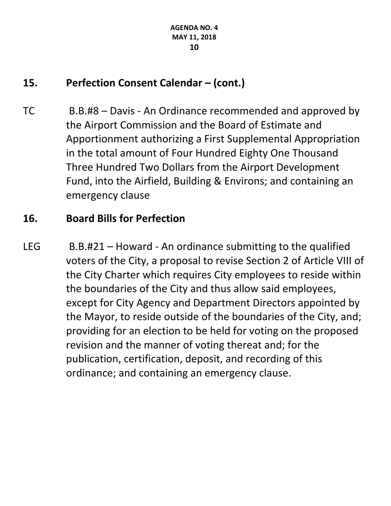## **15. Perfection Consent Calendar – (cont.)**

TC B.B.#8 – Davis - An Ordinance recommended and approved by the Airport Commission and the Board of Estimate and Apportionment authorizing a First Supplemental Appropriation in the total amount of Four Hundred Eighty One Thousand Three Hundred Two Dollars from the Airport Development Fund, into the Airfield, Building & Environs; and containing an emergency clause

## **16. Board Bills for Perfection**

LEG B.B.#21 – Howard - An ordinance submitting to the qualified voters of the City, a proposal to revise Section 2 of Article VIII of the City Charter which requires City employees to reside within the boundaries of the City and thus allow said employees, except for City Agency and Department Directors appointed by the Mayor, to reside outside of the boundaries of the City, and; providing for an election to be held for voting on the proposed revision and the manner of voting thereat and; for the publication, certification, deposit, and recording of this ordinance; and containing an emergency clause.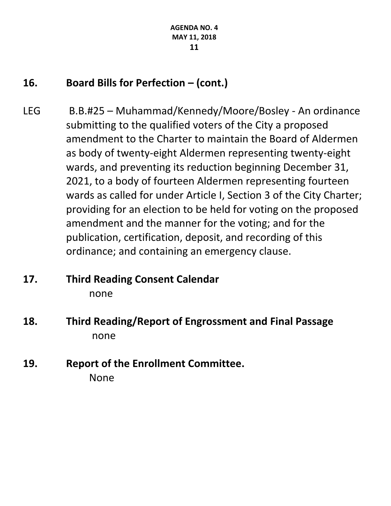## **16. Board Bills for Perfection – (cont.)**

LEG B.B.#25 – Muhammad/Kennedy/Moore/Bosley - An ordinance submitting to the qualified voters of the City a proposed amendment to the Charter to maintain the Board of Aldermen as body of twenty-eight Aldermen representing twenty-eight wards, and preventing its reduction beginning December 31, 2021, to a body of fourteen Aldermen representing fourteen wards as called for under Article I, Section 3 of the City Charter; providing for an election to be held for voting on the proposed amendment and the manner for the voting; and for the publication, certification, deposit, and recording of this ordinance; and containing an emergency clause.

### **17. Third Reading Consent Calendar** none

- **18. Third Reading/Report of Engrossment and Final Passage** none
- **19. Report of the Enrollment Committee.** None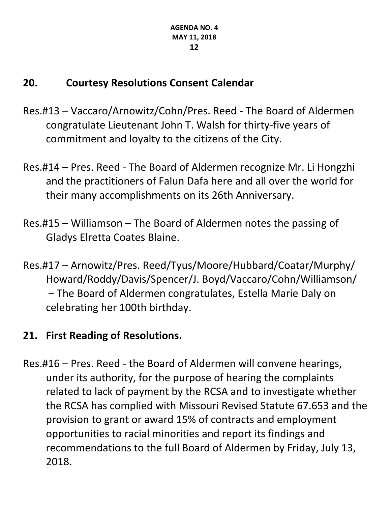## **20. Courtesy Resolutions Consent Calendar**

- Res.#13 Vaccaro/Arnowitz/Cohn/Pres. Reed The Board of Aldermen congratulate Lieutenant John T. Walsh for thirty-five years of commitment and loyalty to the citizens of the City.
- Res.#14 Pres. Reed The Board of Aldermen recognize Mr. Li Hongzhi and the practitioners of Falun Dafa here and all over the world for their many accomplishments on its 26th Anniversary.
- Res.#15 Williamson The Board of Aldermen notes the passing of Gladys Elretta Coates Blaine.
- Res.#17 Arnowitz/Pres. Reed/Tyus/Moore/Hubbard/Coatar/Murphy/ Howard/Roddy/Davis/Spencer/J. Boyd/Vaccaro/Cohn/Williamson/ – The Board of Aldermen congratulates, Estella Marie Daly on celebrating her 100th birthday.

## **21. First Reading of Resolutions.**

Res.#16 – Pres. Reed - the Board of Aldermen will convene hearings, under its authority, for the purpose of hearing the complaints related to lack of payment by the RCSA and to investigate whether the RCSA has complied with Missouri Revised Statute 67.653 and the provision to grant or award 15% of contracts and employment opportunities to racial minorities and report its findings and recommendations to the full Board of Aldermen by Friday, July 13, 2018.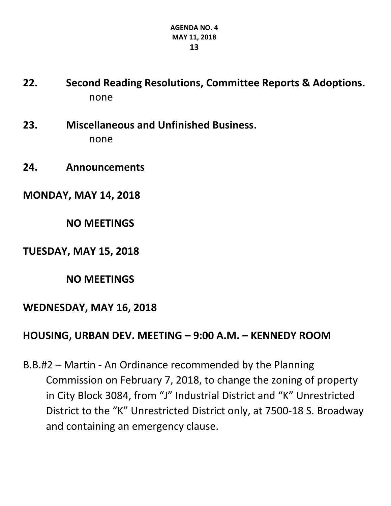- **22. Second Reading Resolutions, Committee Reports & Adoptions.** none
- **23. Miscellaneous and Unfinished Business.** none
- **24. Announcements**

**MONDAY, MAY 14, 2018**

**NO MEETINGS**

**TUESDAY, MAY 15, 2018**

**NO MEETINGS**

### **WEDNESDAY, MAY 16, 2018**

### **HOUSING, URBAN DEV. MEETING – 9:00 A.M. – KENNEDY ROOM**

B.B.#2 – Martin - An Ordinance recommended by the Planning Commission on February 7, 2018, to change the zoning of property in City Block 3084, from "J" Industrial District and "K" Unrestricted District to the "K" Unrestricted District only, at 7500-18 S. Broadway and containing an emergency clause.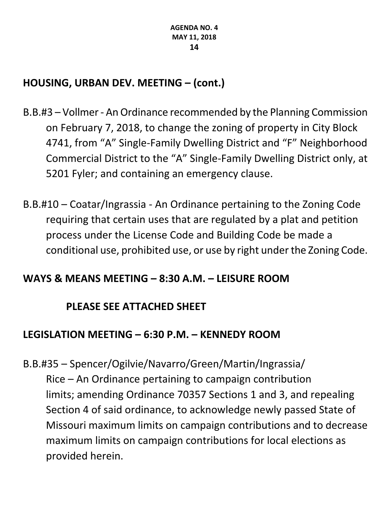## **HOUSING, URBAN DEV. MEETING – (cont.)**

- B.B.#3 Vollmer An Ordinance recommended by the Planning Commission on February 7, 2018, to change the zoning of property in City Block 4741, from "A" Single-Family Dwelling District and "F" Neighborhood Commercial District to the "A" Single-Family Dwelling District only, at 5201 Fyler; and containing an emergency clause.
- B.B.#10 Coatar/Ingrassia An Ordinance pertaining to the Zoning Code requiring that certain uses that are regulated by a plat and petition process under the License Code and Building Code be made a conditional use, prohibited use, or use by right under the Zoning Code.

### **WAYS & MEANS MEETING – 8:30 A.M. – LEISURE ROOM**

## **PLEASE SEE ATTACHED SHEET**

## **LEGISLATION MEETING – 6:30 P.M. – KENNEDY ROOM**

B.B.#35 – Spencer/Ogilvie/Navarro/Green/Martin/Ingrassia/ Rice – An Ordinance pertaining to campaign contribution limits; amending Ordinance 70357 Sections 1 and 3, and repealing Section 4 of said ordinance, to acknowledge newly passed State of Missouri maximum limits on campaign contributions and to decrease maximum limits on campaign contributions for local elections as provided herein.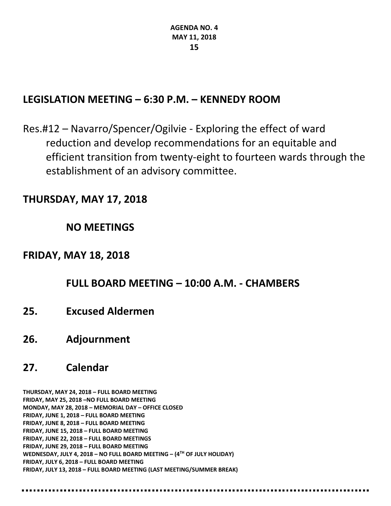### **LEGISLATION MEETING – 6:30 P.M. – KENNEDY ROOM**

Res.#12 – Navarro/Spencer/Ogilvie - Exploring the effect of ward reduction and develop recommendations for an equitable and efficient transition from twenty-eight to fourteen wards through the establishment of an advisory committee.

### **THURSDAY, MAY 17, 2018**

### **NO MEETINGS**

### **FRIDAY, MAY 18, 2018**

### **FULL BOARD MEETING – 10:00 A.M. - CHAMBERS**

**25. Excused Aldermen**

-----------------------------------

**26. Adjournment**

## **27. Calendar**

**THURSDAY, MAY 24, 2018 – FULL BOARD MEETING FRIDAY, MAY 25, 2018 –NO FULL BOARD MEETING MONDAY, MAY 28, 2018 – MEMORIAL DAY – OFFICE CLOSED FRIDAY, JUNE 1, 2018 – FULL BOARD MEETING FRIDAY, JUNE 8, 2018 – FULL BOARD MEETING FRIDAY, JUNE 15, 2018 – FULL BOARD MEETING FRIDAY, JUNE 22, 2018 – FULL BOARD MEETINGS FRIDAY, JUNE 29, 2018 – FULL BOARD MEETING WEDNESDAY, JULY 4, 2018 – NO FULL BOARD MEETING – (4TH OF JULY HOLIDAY) FRIDAY, JULY 6, 2018 – FULL BOARD MEETING FRIDAY, JULY 13, 2018 – FULL BOARD MEETING (LAST MEETING/SUMMER BREAK)**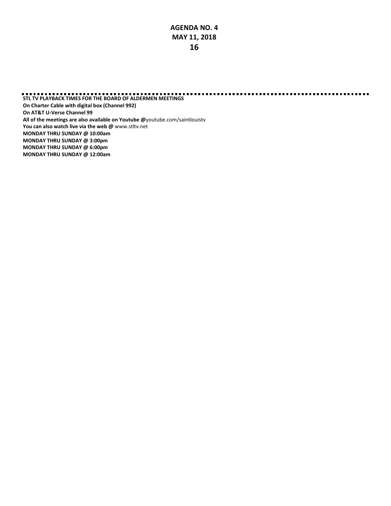**STL TV PLAYBACK TIMES FOR THE BOARD OF ALDERMEN MEETINGS On Charter Cable with digital box (Channel 992) On AT&T U-Verse Channel 99 All of the meetings are also available on Youtube @**[youtube.com/saintlouistv](http://youtube.com/saintlouistv) **You can also watch live via the web @** [www.stltv.net](http://www.stltv.net/) **MONDAY THRU SUNDAY @ 10:00am MONDAY THRU SUNDAY @ 3:00pm MONDAY THRU SUNDAY @ 6:00pm MONDAY THRU SUNDAY @ 12:00am**